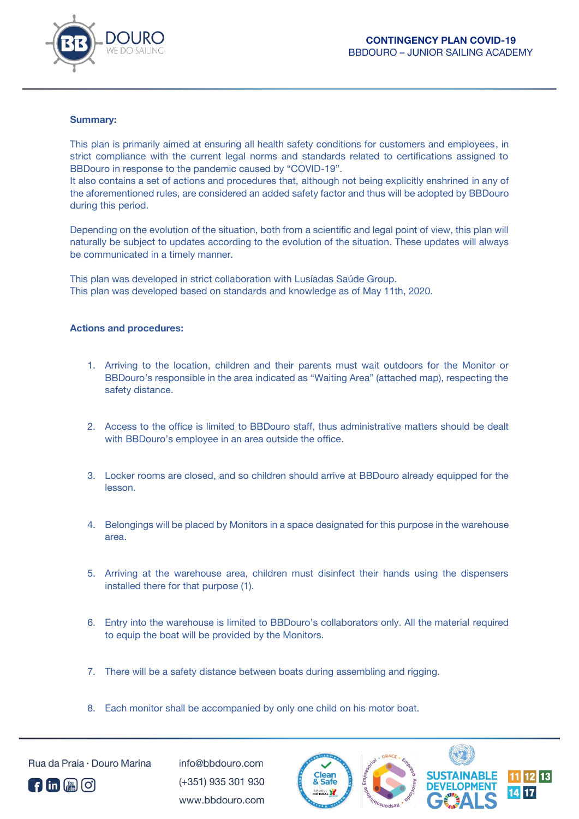

## **Summary:**

This plan is primarily aimed at ensuring all health safety conditions for customers and employees, in strict compliance with the current legal norms and standards related to certifications assigned to BBDouro in response to the pandemic caused by "COVID-19".

It also contains a set of actions and procedures that, although not being explicitly enshrined in any of the aforementioned rules, are considered an added safety factor and thus will be adopted by BBDouro during this period.

Depending on the evolution of the situation, both from a scientific and legal point of view, this plan will naturally be subject to updates according to the evolution of the situation. These updates will always be communicated in a timely manner.

This plan was developed in strict collaboration with Lusíadas Saúde Group. This plan was developed based on standards and knowledge as of May 11th, 2020.

## **Actions and procedures:**

- 1. Arriving to the location, children and their parents must wait outdoors for the Monitor or BBDouro's responsible in the area indicated as "Waiting Area" (attached map), respecting the safety distance.
- 2. Access to the office is limited to BBDouro staff, thus administrative matters should be dealt with BBDouro's employee in an area outside the office.
- 3. Locker rooms are closed, and so children should arrive at BBDouro already equipped for the lesson.
- 4. Belongings will be placed by Monitors in a space designated for this purpose in the warehouse area.
- 5. Arriving at the warehouse area, children must disinfect their hands using the dispensers installed there for that purpose (1).
- 6. Entry into the warehouse is limited to BBDouro's collaborators only. All the material required to equip the boat will be provided by the Monitors.
- 7. There will be a safety distance between boats during assembling and rigging.
- 8. Each monitor shall be accompanied by only one child on his motor boat.



Rua da Praia · Douro Marina

 $info@hhdouro.com$ (+351) 935 301 930 www.bbdouro.com



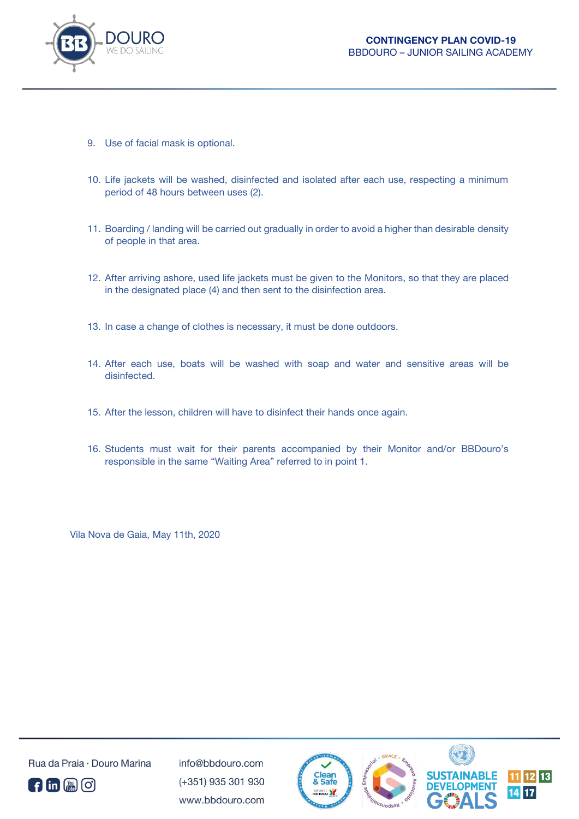

- 9. Use of facial mask is optional.
- 10. Life jackets will be washed, disinfected and isolated after each use, respecting a minimum period of 48 hours between uses (2).
- 11. Boarding / landing will be carried out gradually in order to avoid a higher than desirable density of people in that area.
- 12. After arriving ashore, used life jackets must be given to the Monitors, so that they are placed in the designated place (4) and then sent to the disinfection area.
- 13. In case a change of clothes is necessary, it must be done outdoors.
- 14. After each use, boats will be washed with soap and water and sensitive areas will be disinfected.
- 15. After the lesson, children will have to disinfect their hands once again.
- 16. Students must wait for their parents accompanied by their Monitor and/or BBDouro's responsible in the same "Waiting Area" referred to in point 1.

Vila Nova de Gaia, May 11th, 2020



Rua da Praia - Douro Marina

 $info@hhdouro.com$ (+351) 935 301 930 www.bbdouro.com